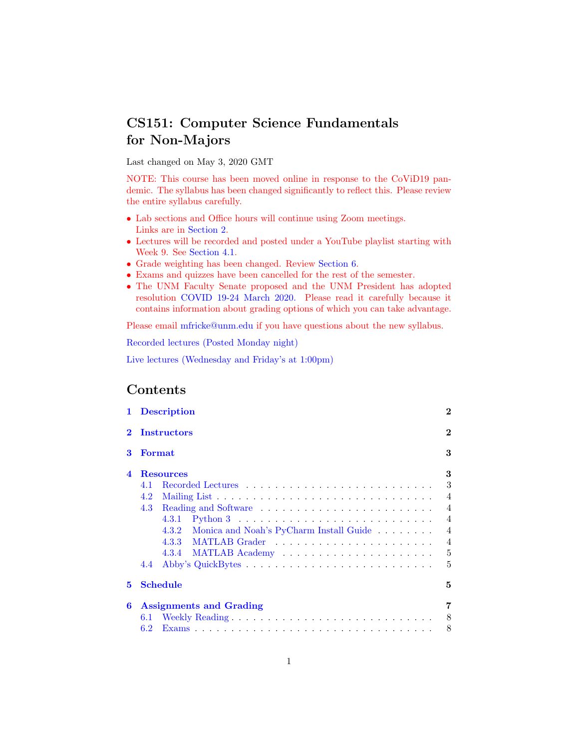# CS151: Computer Science Fundamentals for Non-Majors

Last changed on May 3, 2020 GMT

NOTE: This course has been moved online in response to the CoViD19 pandemic. The syllabus has been changed significantly to reflect this. Please review the entire syllabus carefully.

- Lab sections and Office hours will continue using Zoom meetings. Links are in [Section 2.](#page-1-0)
- Lectures will be recorded and posted under a YouTube playlist starting with Week 9. See [Section 4.1.](#page-2-0)
- Grade weighting has been changed. Review [Section 6.](#page-6-0)
- Exams and quizzes have been cancelled for the rest of the semester.
- The UNM Faculty Senate proposed and the UNM President has adopted resolution [COVID 19-24 March 2020.](http://fricke.co.uk/Teaching/CS151_2020/UNM_Faculty_Senate_Resolution-COVID-19-24_March_2020.pdf) Please read it carefully because it contains information about grading options of which you can take advantage.

Please email [mfricke@unm.edu](mailto:mfricke@unm.edu) if you have questions about the new syllabus.

[Recorded lectures \(Posted Monday night\)](https://www.youtube.com/playlist?list=PLa8f1-ESrfVqG0Kq-7n9gZtXQrcve6xz3)

[Live lectures \(Wednesday and Friday's at 1:00pm\)](https://unm.zoom.us/j/360221862)

# Contents

| 1                  | <b>Description</b>                            | $\mathbf{2}$   |  |  |  |  |  |  |
|--------------------|-----------------------------------------------|----------------|--|--|--|--|--|--|
| <b>Instructors</b> |                                               |                |  |  |  |  |  |  |
| 3                  | <b>Format</b>                                 | 3              |  |  |  |  |  |  |
| $\boldsymbol{A}$   | <b>Resources</b>                              | 3              |  |  |  |  |  |  |
|                    | 4.1                                           | 3              |  |  |  |  |  |  |
|                    | 4.2                                           | $\overline{4}$ |  |  |  |  |  |  |
|                    | 4.3                                           | $\overline{4}$ |  |  |  |  |  |  |
|                    | 4.3.1                                         | $\overline{4}$ |  |  |  |  |  |  |
|                    | 4.3.2 Monica and Noah's PyCharm Install Guide | $\overline{4}$ |  |  |  |  |  |  |
|                    |                                               | $\overline{4}$ |  |  |  |  |  |  |
|                    | 4.3.4 MATLAB Academy                          | 5              |  |  |  |  |  |  |
|                    | 4.4                                           | 5              |  |  |  |  |  |  |
| 5                  | <b>Schedule</b>                               | 5              |  |  |  |  |  |  |
| 6                  | <b>Assignments and Grading</b>                | 7              |  |  |  |  |  |  |
|                    | 6.1                                           | 8              |  |  |  |  |  |  |
|                    | 6.2                                           | 8              |  |  |  |  |  |  |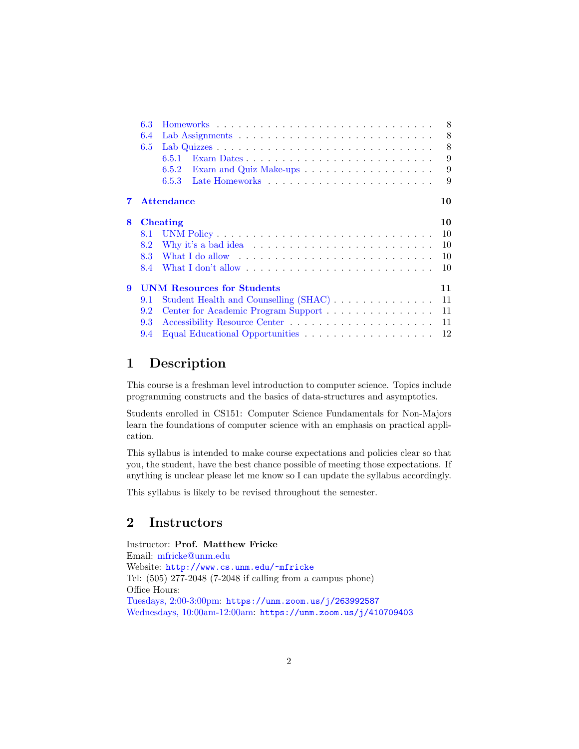|   | 6.3                                     |                                                                                                                     | 8  |  |  |  |  |  |  |  |  |
|---|-----------------------------------------|---------------------------------------------------------------------------------------------------------------------|----|--|--|--|--|--|--|--|--|
|   | 6.4                                     |                                                                                                                     |    |  |  |  |  |  |  |  |  |
|   | 6.5                                     |                                                                                                                     | 8  |  |  |  |  |  |  |  |  |
|   |                                         | 6.5.1                                                                                                               | 9  |  |  |  |  |  |  |  |  |
|   |                                         | 6.5.2                                                                                                               | 9  |  |  |  |  |  |  |  |  |
|   |                                         | 6.5.3                                                                                                               | 9  |  |  |  |  |  |  |  |  |
|   |                                         | <b>Attendance</b>                                                                                                   | 10 |  |  |  |  |  |  |  |  |
| 8 | <b>Cheating</b><br>10                   |                                                                                                                     |    |  |  |  |  |  |  |  |  |
|   | 8.1                                     |                                                                                                                     | 10 |  |  |  |  |  |  |  |  |
|   | 8.2                                     |                                                                                                                     | 10 |  |  |  |  |  |  |  |  |
|   | 8.3                                     | What I do allow $\dots \dots \dots \dots \dots \dots \dots \dots \dots \dots \dots$                                 | 10 |  |  |  |  |  |  |  |  |
|   | 8.4                                     | What I don't allow $\ldots$ , $\ldots$ , $\ldots$ , $\ldots$ , $\ldots$ , $\ldots$ , $\ldots$ , $\ldots$ , $\ldots$ | 10 |  |  |  |  |  |  |  |  |
| 9 | <b>UNM Resources for Students</b><br>11 |                                                                                                                     |    |  |  |  |  |  |  |  |  |
|   | 9.1                                     | Student Health and Counselling (SHAC)                                                                               | 11 |  |  |  |  |  |  |  |  |
|   | 9.2                                     | Center for Academic Program Support                                                                                 | 11 |  |  |  |  |  |  |  |  |
|   | 9.3                                     |                                                                                                                     | 11 |  |  |  |  |  |  |  |  |
|   | 9.4                                     |                                                                                                                     | 12 |  |  |  |  |  |  |  |  |

# <span id="page-1-1"></span>1 Description

This course is a freshman level introduction to computer science. Topics include programming constructs and the basics of data-structures and asymptotics.

Students enrolled in CS151: Computer Science Fundamentals for Non-Majors learn the foundations of computer science with an emphasis on practical application.

This syllabus is intended to make course expectations and policies clear so that you, the student, have the best chance possible of meeting those expectations. If anything is unclear please let me know so I can update the syllabus accordingly.

This syllabus is likely to be revised throughout the semester.

# <span id="page-1-0"></span>2 Instructors

Instructor: Prof. Matthew Fricke Email: [mfricke@unm.edu](mailto:mfricke@unm.edu) Website: <http://www.cs.unm.edu/~mfricke> Tel: (505) 277-2048 (7-2048 if calling from a campus phone) Office Hours: [Tuesdays, 2:00-3:00pm:](https://unm.zoom.us/j/263992587) <https://unm.zoom.us/j/263992587> [Wednesdays, 10:00am-12:00am:](https://unm.zoom.us/j/410709403) <https://unm.zoom.us/j/410709403>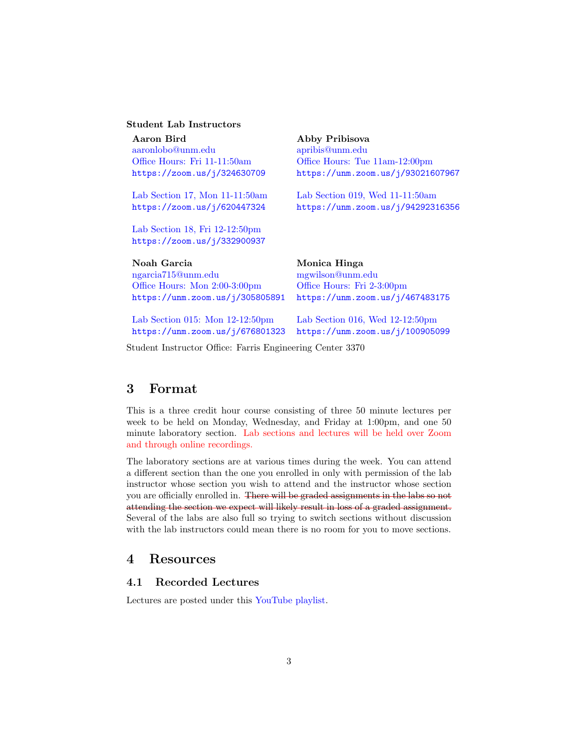### Student Lab Instructors

Aaron Bird Abby Pribisova [aaronlobo@unm.edu](mailto:aaronlobo@unm.edu) [apribis@unm.edu](mailto:apribis@unm.edu)

[Lab Section 18, Fri 12-12:50pm](https://zoom.us/j/332900937) <https://zoom.us/j/332900937>

[ngarcia715@unm.edu](mailto:ngarcia715@unm.edu) [mgwilson@unm.edu](mailto:mgwilson@unm.edu) [Office Hours: Mon 2:00-3:00pm](https://unm.zoom.us/j/305805891) [Office Hours: Fri 2-3:00pm](https://unm.zoom.us/j/446487706)

[Office Hours: Fri 11-11:50am](https://zoom.us/j/324630709) [Office Hours: Tue 11am-12:00pm](https://unm.zoom.us/j/93021607967) <https://zoom.us/j/324630709> <https://unm.zoom.us/j/93021607967>

[Lab Section 17, Mon 11-11:50am](https://zoom.us/j/620447324) [Lab Section 019, Wed 11-11:50am](https://unm.zoom.us/j/94292316356) <https://zoom.us/j/620447324> <https://unm.zoom.us/j/94292316356>

Noah Garcia Monica Hinga <https://unm.zoom.us/j/305805891> <https://unm.zoom.us/j/467483175>

[Lab Section 015: Mon 12-12:50pm](https://unm.zoom.us/j/676801323) [Lab Section 016, Wed 12-12:50pm](https://unm.zoom.us/j/100905099)

<https://unm.zoom.us/j/676801323> <https://unm.zoom.us/j/100905099>

Student Instructor Office: Farris Engineering Center 3370

# <span id="page-2-1"></span>3 Format

This is a three credit hour course consisting of three 50 minute lectures per week to be held on Monday, Wednesday, and Friday at 1:00pm, and one 50 minute laboratory section. Lab sections and lectures will be held over Zoom and through online recordings.

The laboratory sections are at various times during the week. You can attend a different section than the one you enrolled in only with permission of the lab instructor whose section you wish to attend and the instructor whose section you are officially enrolled in. There will be graded assignments in the labs so not attending the section we expect will likely result in loss of a graded assignment. Several of the labs are also full so trying to switch sections without discussion with the lab instructors could mean there is no room for you to move sections.

# <span id="page-2-2"></span>4 Resources

# <span id="page-2-0"></span>4.1 Recorded Lectures

Lectures are posted under this [YouTube playlist.](https://www.youtube.com/playlist?list=PLa8f1-ESrfVqG0Kq-7n9gZtXQrcve6xz3)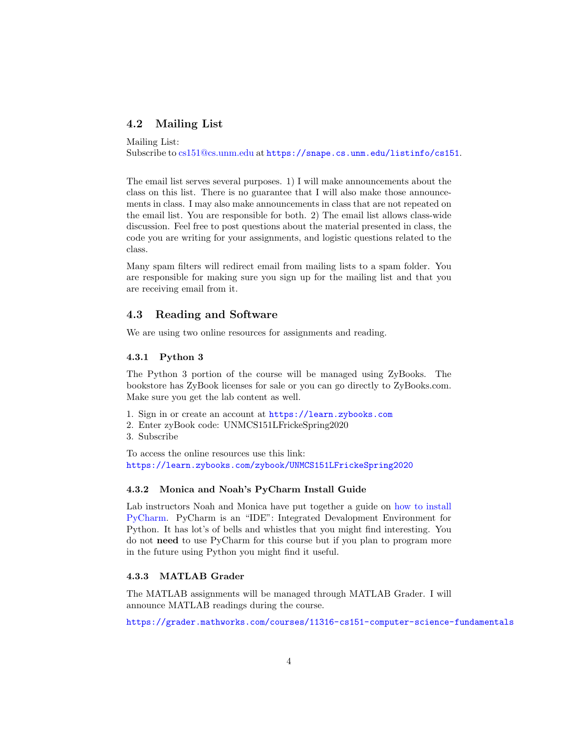# <span id="page-3-0"></span>4.2 Mailing List

Mailing List: Subscribe to [cs151@cs.unm.edu](mailto:cs151@cs.unm.edu) at <https://snape.cs.unm.edu/listinfo/cs151>.

The email list serves several purposes. 1) I will make announcements about the class on this list. There is no guarantee that I will also make those announcements in class. I may also make announcements in class that are not repeated on the email list. You are responsible for both. 2) The email list allows class-wide discussion. Feel free to post questions about the material presented in class, the code you are writing for your assignments, and logistic questions related to the class.

Many spam filters will redirect email from mailing lists to a spam folder. You are responsible for making sure you sign up for the mailing list and that you are receiving email from it.

## <span id="page-3-1"></span>4.3 Reading and Software

We are using two online resources for assignments and reading.

#### <span id="page-3-2"></span>4.3.1 Python 3

The Python 3 portion of the course will be managed using ZyBooks. The bookstore has ZyBook licenses for sale or you can go directly to ZyBooks.com. Make sure you get the lab content as well.

- 1. Sign in or create an account at <https://learn.zybooks.com>
- 2. Enter zyBook code: UNMCS151LFrickeSpring2020
- 3. Subscribe

To access the online resources use this link: <https://learn.zybooks.com/zybook/UNMCS151LFrickeSpring2020>

#### <span id="page-3-3"></span>4.3.2 Monica and Noah's PyCharm Install Guide

Lab instructors Noah and Monica have put together a guide on [how to install](http://fricke.co.uk/Teaching/CS151_2020/installPyCharm.pdf) [PyCharm.](http://fricke.co.uk/Teaching/CS151_2020/installPyCharm.pdf) PyCharm is an "IDE": Integrated Devalopment Environment for Python. It has lot's of bells and whistles that you might find interesting. You do not need to use PyCharm for this course but if you plan to program more in the future using Python you might find it useful.

#### <span id="page-3-4"></span>4.3.3 MATLAB Grader

The MATLAB assignments will be managed through MATLAB Grader. I will announce MATLAB readings during the course.

<https://grader.mathworks.com/courses/11316-cs151-computer-science-fundamentals>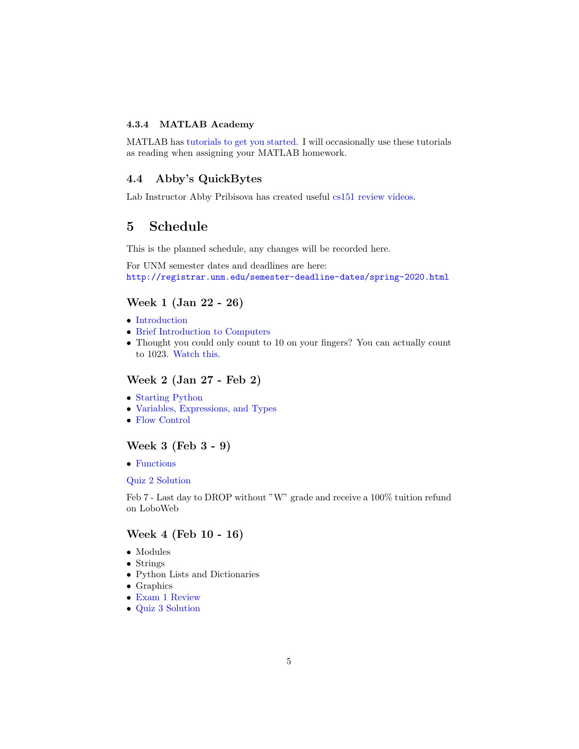## <span id="page-4-0"></span>4.3.4 MATLAB Academy

MATLAB has [tutorials to get you started.](https://matlabacademy.mathworks.com/) I will occasionally use these tutorials as reading when assigning your MATLAB homework.

# <span id="page-4-1"></span>4.4 Abby's QuickBytes

Lab Instructor Abby Pribisova has created useful [cs151 review videos.](https://www.youtube.com/playlist?list=PLmWk0NEo171I2Lwck2NoWmkMNIJllsXcK)

# <span id="page-4-2"></span>5 Schedule

This is the planned schedule, any changes will be recorded here.

For UNM semester dates and deadlines are here: <http://registrar.unm.edu/semester-deadline-dates/spring-2020.html>

# Week 1 (Jan 22 - 26)

- [Introduction](http://fricke.co.uk/Teaching/CS151_2020/Lectures/CS151_Lecture_1_v1.0_Introduction.pdf)
- [Brief Introduction to Computers](http://fricke.co.uk/Teaching/CS151_2020/Lectures/CS151_Lecture_2_v1.0_Intro_to_Computers.pdf)
- Thought you could only count to 10 on your fingers? You can actually count to 1023. [Watch this.](https://www.youtube.com/watch?v=Bke95oWWZII)

## Week 2 (Jan 27 - Feb 2)

- [Starting Python](http://fricke.co.uk/Teaching/CS151_2020/Lectures/CS151_Lecture_3_v1.0_Starting_Python.pdf)
- [Variables, Expressions, and Types](http://fricke.co.uk/Teaching/CS151_2020/Lectures/CS151_Lecture_4_v1.0_Variables,_Expressions_and_Types.pdf)
- [Flow Control](http://fricke.co.uk/Teaching/CS151_2020/Lectures/CS151_Lecture_5_v1.0_Flow_Control.pdf)

# Week 3 (Feb 3 - 9)

• [Functions](http://fricke.co.uk/Teaching/CS151_2020/Lectures/CS151_Lecture_6_v1.0_Functions.pdf)

#### [Quiz 2 Solution](http://fricke.co.uk/Teaching/CS151_2020/Solutions/Quiz2Sol.pdf)

Feb 7 - Last day to DROP without "W" grade and receive a 100% tuition refund on LoboWeb

## Week 4 (Feb 10 - 16)

- Modules
- Strings
- Python Lists and Dictionaries
- Graphics
- [Exam 1 Review](http://fricke.co.uk/Teaching/CS151_2020/Solutions/CS151_Practice_Exam_1_solutions.pdf)
- [Quiz 3 Solution](http://fricke.co.uk/Teaching/CS151_2020/Solutions/Quiz3Sol.pdf)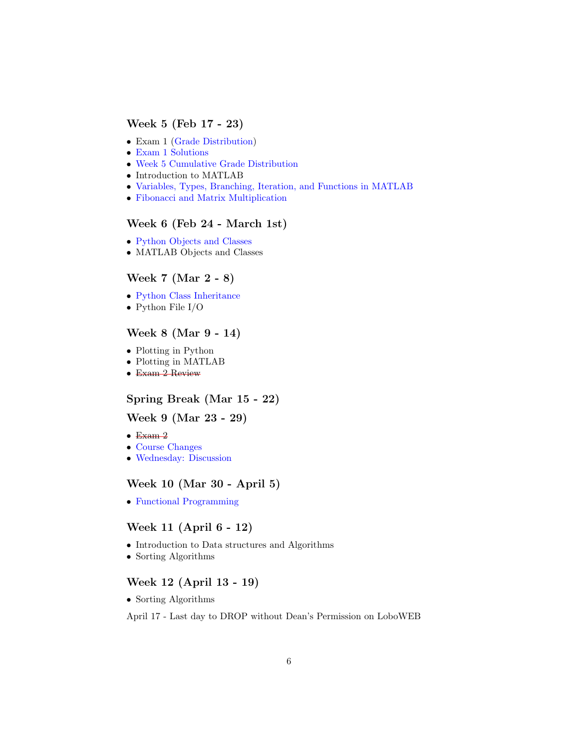# Week 5 (Feb 17 - 23)

- Exam 1 [\(Grade Distribution\)](http://fricke.co.uk/Teaching/CS151_2020/Grade_Distributions/CS151_Exam1_Grade_Distribution.png)
- [Exam 1 Solutions](http://fricke.co.uk/Teaching/CS151_2020/Solutions/Exam1_Solutions.png)
- [Week 5 Cumulative Grade Distribution](http://fricke.co.uk/Teaching/CS151_2020/Grade_Distributions/CS151_Week5_Grade_Distribution.png)
- Introduction to MATLAB
- [Variables, Types, Branching, Iteration, and Functions in MATLAB](http://fricke.co.uk/Teaching/CS151_2020/Lectures/CS151_Lecture_7_v1.0_MATLAB_Types_Iteration_Functions.pdf)
- [Fibonacci and Matrix Multiplication](http://fricke.co.uk/Teaching/CS151_2020/Lectures/CS151_Lecture 8_v1.0_Array_Matrix.pdf)

# Week 6 (Feb 24 - March 1st)

- [Python Objects and Classes](http://fricke.co.uk/Teaching/CS151_2020/Lectures/CS151_Lecture_9_v1.0_Objects_and_Classes.pdf)
- MATLAB Objects and Classes

# Week 7 (Mar 2 - 8)

- [Python Class Inheritance](http://fricke.co.uk/Teaching/CS151_2020/Lectures/CS151_Lecture_10_v1.0_Object_Composition_and_Inheritance.pdf)
- Python File I/O

# Week 8 (Mar 9 - 14)

- Plotting in Python
- Plotting in MATLAB
- Exam 2 Review

## Spring Break (Mar 15 - 22)

## Week 9 (Mar 23 - 29)

- $\bullet$  Exam  $2$
- [Course Changes](https://youtu.be/05K_-COT4PM)
- [Wednesday: Discussion](https://unm.zoom.us/j/360221862)

# Week 10 (Mar 30 - April 5)

• [Functional Programming](http://fricke.co.uk/Teaching/CS151_2020/Lectures/CS151_Lecture_12_v1.0_Functional_Programming.pdf)

# Week 11 (April 6 - 12)

- Introduction to Data structures and Algorithms
- Sorting Algorithms

# Week 12 (April 13 - 19)

• Sorting Algorithms

April 17 - Last day to DROP without Dean's Permission on LoboWEB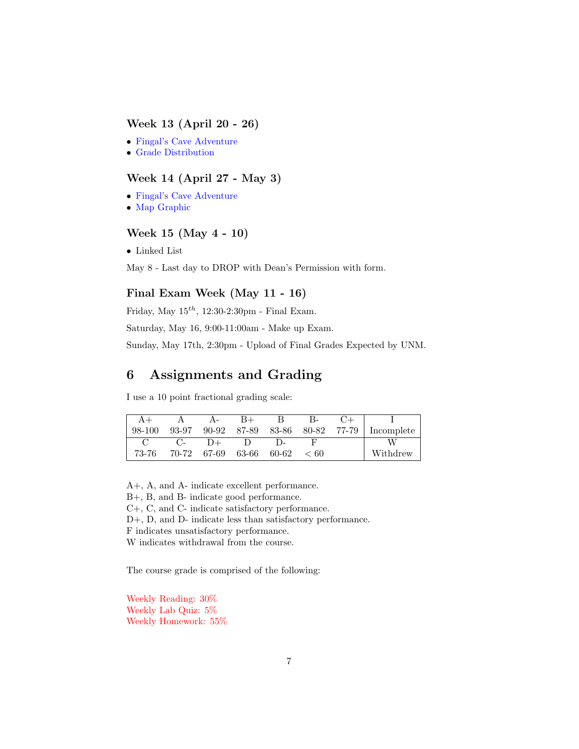# Week 13 (April 20 - 26)

- [Fingal's Cave Adventure](http://fricke.co.uk/Teaching/CS151_2020/CS151_Adventure_Game_Spec.pdf)
- [Grade Distribution](http://fricke.co.uk/Teaching/CS151_2020/Grade_Distributions/Project_Part1_Grade_Distribution.pdf)

# Week 14 (April 27 - May 3)

- [Fingal's Cave Adventure](http://fricke.co.uk/Teaching/CS151_2020/CS151_Adventure_Game_Spec.pdf)
- [Map Graphic](http://fricke.co.uk/Teaching/CS151_2020/Lectures/map_graphic.pdf)

# Week 15 (May 4 - 10)

• Linked List

May 8 - Last day to DROP with Dean's Permission with form.

# Final Exam Week (May 11 - 16)

Friday, May  $15^{th}$ , 12:30-2:30pm - Final Exam.

Saturday, May 16, 9:00-11:00am - Make up Exam.

Sunday, May 17th, 2:30pm - Upload of Final Grades Expected by UNM.

# <span id="page-6-0"></span>6 Assignments and Grading

I use a 10 point fractional grading scale:

| 98-100 | 93-97 | 90-92 | 87-89 |       | 83-86 80-82 77-79 | Incomplete |
|--------|-------|-------|-------|-------|-------------------|------------|
|        |       | $+(-$ |       |       |                   | W          |
| 73-76  | 70-72 | 67-69 | 63-66 | 60-62 | < 60              | Withdrew   |

A+, A, and A- indicate excellent performance.

B+, B, and B- indicate good performance.

C+, C, and C- indicate satisfactory performance.

D+, D, and D- indicate less than satisfactory performance.

F indicates unsatisfactory performance.

W indicates withdrawal from the course.

The course grade is comprised of the following:

Weekly Reading: 30% Weekly Lab Quiz: 5% Weekly Homework: 55%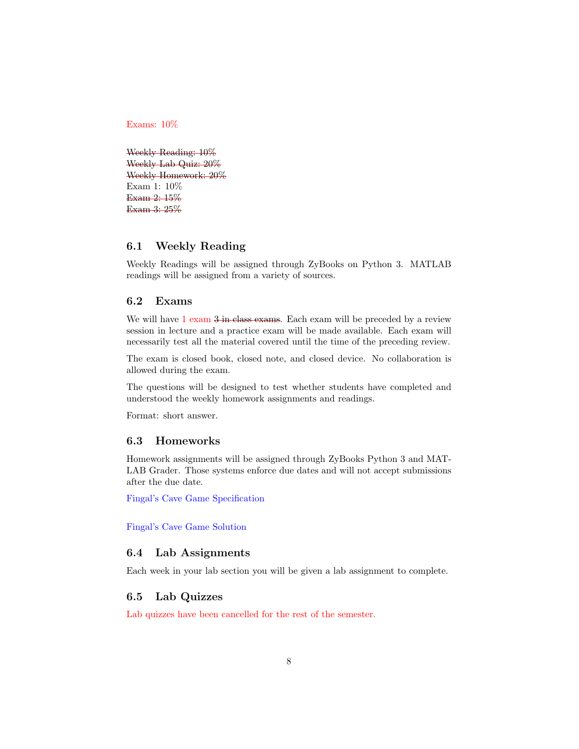Exams: 10%

Weekly Reading: 10% Weekly Lab Quiz: 20% Weekly Homework: 20% Exam 1: 10% Exam 2: 15% Exam 3: 25%

## <span id="page-7-0"></span>6.1 Weekly Reading

Weekly Readings will be assigned through ZyBooks on Python 3. MATLAB readings will be assigned from a variety of sources.

# <span id="page-7-1"></span>6.2 Exams

We will have 1 exam  $3 \text{ in class exams}$ . Each exam will be preceded by a review session in lecture and a practice exam will be made available. Each exam will necessarily test all the material covered until the time of the preceding review.

The exam is closed book, closed note, and closed device. No collaboration is allowed during the exam.

The questions will be designed to test whether students have completed and understood the weekly homework assignments and readings.

Format: short answer.

#### <span id="page-7-2"></span>6.3 Homeworks

Homework assignments will be assigned through ZyBooks Python 3 and MAT-LAB Grader. Those systems enforce due dates and will not accept submissions after the due date.

[Fingal's Cave Game Specification](http://fricke.co.uk/Teaching/CS151_2020/CS151_Adventure_Game_Spec.pdf)

[Fingal's Cave Game Solution](http://fricke.co.uk/Teaching/CS151_2020/solutions/CS151_Project_Solution.pdf)

#### <span id="page-7-3"></span>6.4 Lab Assignments

Each week in your lab section you will be given a lab assignment to complete.

#### <span id="page-7-4"></span>6.5 Lab Quizzes

Lab quizzes have been cancelled for the rest of the semester.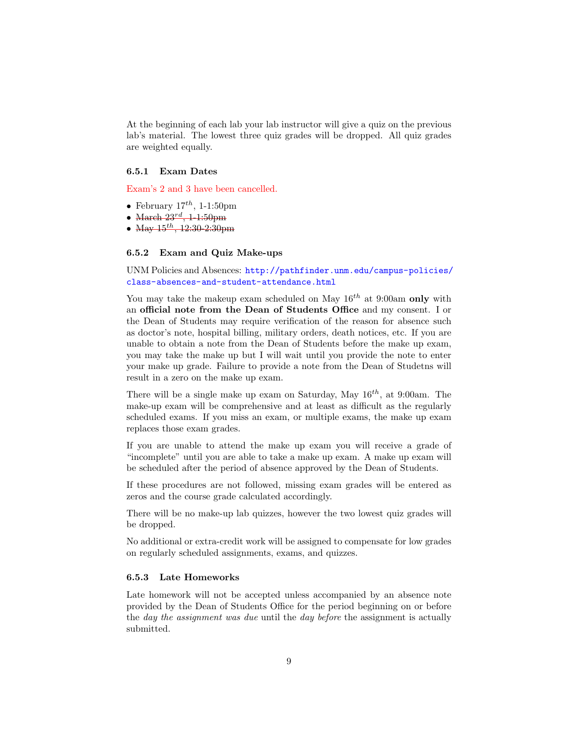At the beginning of each lab your lab instructor will give a quiz on the previous lab's material. The lowest three quiz grades will be dropped. All quiz grades are weighted equally.

#### <span id="page-8-0"></span>6.5.1 Exam Dates

Exam's 2 and 3 have been cancelled.

- February  $17^{th}$ , 1-1:50pm
- March  $23^{rd}$ , 1-1:50pm
- May  $15^{th}$ ,  $12:30-2:30$  pm

#### <span id="page-8-1"></span>6.5.2 Exam and Quiz Make-ups

UNM Policies and Absences: [http://pathfinder.unm.edu/campus-policies/](http://pathfinder.unm.edu/campus-policies/class-absences-and-student-attendance.html) [class-absences-and-student-attendance.html](http://pathfinder.unm.edu/campus-policies/class-absences-and-student-attendance.html)

You may take the makeup exam scheduled on May  $16^{th}$  at 9:00am only with an official note from the Dean of Students Office and my consent. I or the Dean of Students may require verification of the reason for absence such as doctor's note, hospital billing, military orders, death notices, etc. If you are unable to obtain a note from the Dean of Students before the make up exam, you may take the make up but I will wait until you provide the note to enter your make up grade. Failure to provide a note from the Dean of Studetns will result in a zero on the make up exam.

There will be a single make up exam on Saturday, May  $16^{th}$ , at 9:00am. The make-up exam will be comprehensive and at least as difficult as the regularly scheduled exams. If you miss an exam, or multiple exams, the make up exam replaces those exam grades.

If you are unable to attend the make up exam you will receive a grade of "incomplete" until you are able to take a make up exam. A make up exam will be scheduled after the period of absence approved by the Dean of Students.

If these procedures are not followed, missing exam grades will be entered as zeros and the course grade calculated accordingly.

There will be no make-up lab quizzes, however the two lowest quiz grades will be dropped.

No additional or extra-credit work will be assigned to compensate for low grades on regularly scheduled assignments, exams, and quizzes.

## <span id="page-8-2"></span>6.5.3 Late Homeworks

Late homework will not be accepted unless accompanied by an absence note provided by the Dean of Students Office for the period beginning on or before the day the assignment was due until the day before the assignment is actually submitted.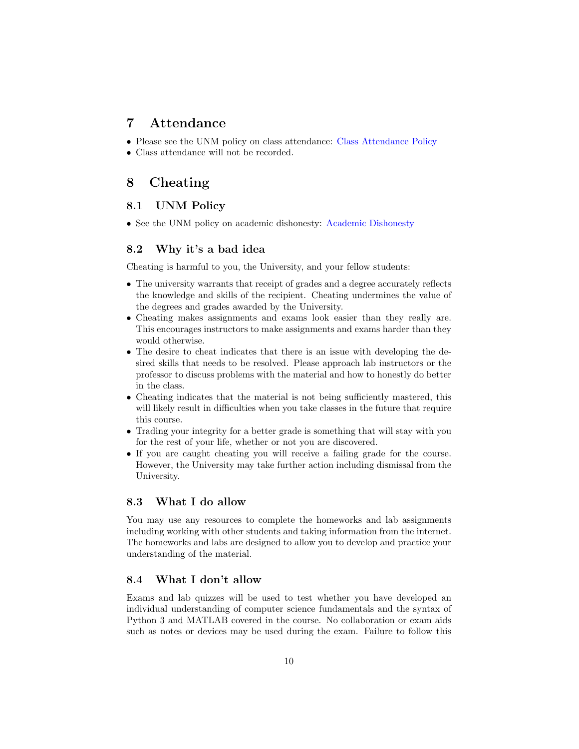# <span id="page-9-0"></span>7 Attendance

- Please see the UNM policy on class attendance: [Class Attendance Policy](https://pathfinder.unm.edu/campus-policies/class-absences-and-student-attendance.html)
- Class attendance will not be recorded.

# <span id="page-9-1"></span>8 Cheating

# <span id="page-9-2"></span>8.1 UNM Policy

• See the UNM policy on academic dishonesty: [Academic Dishonesty](https://pathfinder.unm.edu/campus-policies/academic-dishonesty.html)

# <span id="page-9-3"></span>8.2 Why it's a bad idea

Cheating is harmful to you, the University, and your fellow students:

- The university warrants that receipt of grades and a degree accurately reflects the knowledge and skills of the recipient. Cheating undermines the value of the degrees and grades awarded by the University.
- Cheating makes assignments and exams look easier than they really are. This encourages instructors to make assignments and exams harder than they would otherwise.
- The desire to cheat indicates that there is an issue with developing the desired skills that needs to be resolved. Please approach lab instructors or the professor to discuss problems with the material and how to honestly do better in the class.
- Cheating indicates that the material is not being sufficiently mastered, this will likely result in difficulties when you take classes in the future that require this course.
- Trading your integrity for a better grade is something that will stay with you for the rest of your life, whether or not you are discovered.
- If you are caught cheating you will receive a failing grade for the course. However, the University may take further action including dismissal from the University.

## <span id="page-9-4"></span>8.3 What I do allow

You may use any resources to complete the homeworks and lab assignments including working with other students and taking information from the internet. The homeworks and labs are designed to allow you to develop and practice your understanding of the material.

## <span id="page-9-5"></span>8.4 What I don't allow

Exams and lab quizzes will be used to test whether you have developed an individual understanding of computer science fundamentals and the syntax of Python 3 and MATLAB covered in the course. No collaboration or exam aids such as notes or devices may be used during the exam. Failure to follow this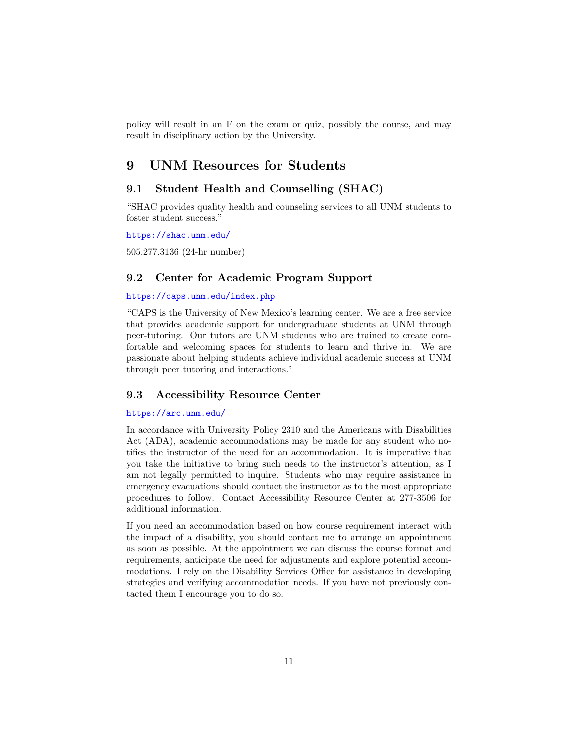policy will result in an F on the exam or quiz, possibly the course, and may result in disciplinary action by the University.

# <span id="page-10-0"></span>9 UNM Resources for Students

# <span id="page-10-1"></span>9.1 Student Health and Counselling (SHAC)

"SHAC provides quality health and counseling services to all UNM students to foster student success."

<https://shac.unm.edu/>

505.277.3136 (24-hr number)

## <span id="page-10-2"></span>9.2 Center for Academic Program Support

## <https://caps.unm.edu/index.php>

"CAPS is the University of New Mexico's learning center. We are a free service that provides academic support for undergraduate students at UNM through peer-tutoring. Our tutors are UNM students who are trained to create comfortable and welcoming spaces for students to learn and thrive in. We are passionate about helping students achieve individual academic success at UNM through peer tutoring and interactions."

# <span id="page-10-3"></span>9.3 Accessibility Resource Center

#### <https://arc.unm.edu/>

In accordance with University Policy 2310 and the Americans with Disabilities Act (ADA), academic accommodations may be made for any student who notifies the instructor of the need for an accommodation. It is imperative that you take the initiative to bring such needs to the instructor's attention, as I am not legally permitted to inquire. Students who may require assistance in emergency evacuations should contact the instructor as to the most appropriate procedures to follow. Contact Accessibility Resource Center at 277-3506 for additional information.

If you need an accommodation based on how course requirement interact with the impact of a disability, you should contact me to arrange an appointment as soon as possible. At the appointment we can discuss the course format and requirements, anticipate the need for adjustments and explore potential accommodations. I rely on the Disability Services Office for assistance in developing strategies and verifying accommodation needs. If you have not previously contacted them I encourage you to do so.